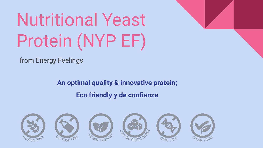# Nutritional Yeast Protein (NYP EF)

from Energy Feelings

**An optimal quality & innovative protein; Eco friendly y de confianza**









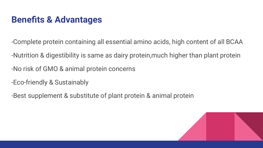#### **Benefits & Advantages**

-Complete protein containing all essential amino acids, high content of all BCAA

-Nutrition & digestibility is same as dairy protein,much higher than plant protein

-No risk of GMO & animal protein concerns

-Eco-friendly & Sustainably

-Best supplement & substitute of plant protein & animal protein

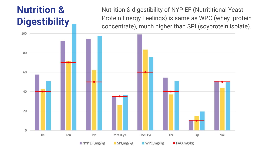## **Nutrition & Digestibility**

Nutrition & digestibility of NYP EF (Nutrititional Yeast Protein Energy Feelings) is same as WPC (whey protein concentrate), much higher than SPI (soyprotein isolate).

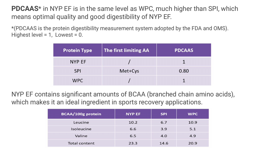**PDCAAS**\* in NYP EF is in the same level as WPC, much higher than SPI, which means optimal quality and good digestibility of NYP EF.

\*(PDCAAS is the protein digestibility measurement system adopted by the FDA and OMS). Highest level =  $1$ , Lowest =  $0$ .

| <b>Protein Type</b> | The first limiting AA | <b>PDCAAS</b> |  |
|---------------------|-----------------------|---------------|--|
| <b>NYP EF</b>       |                       |               |  |
| <b>SPI</b>          | Met+Cys               | 0.80          |  |
| <b>WPC</b>          |                       |               |  |

NYP EF contains significant amounts of BCAA (branched chain amino acids), which makes it an ideal ingredient in sports recovery applications.

| <b>BCAA/100g protein</b> | <b>NYP EF</b> | <b>SPI</b> | <b>WPC</b> |
|--------------------------|---------------|------------|------------|
| Leucine                  | 10.2          | 6.7        | 10.9       |
| <b>Isoleucine</b>        | 6.6           | 3.9        | 5.1        |
| Valine                   | 6.5           | 4.0        | 4.9        |
| Total content            | 23.3          | 14.6       | 20.9       |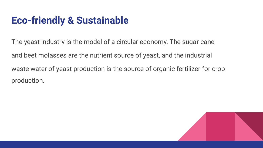### **Eco-friendly & Sustainable**

The yeast industry is the model of a circular economy. The sugar cane and beet molasses are the nutrient source of yeast, and the industrial waste water of yeast production is the source of organic fertilizer for crop production.

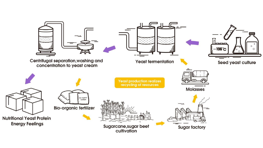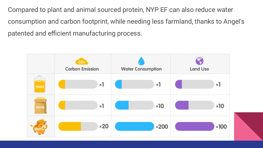Compared to plant and animal sourced protein, NYP EF can also reduce water consumption and carbon footprint, while needing less farmland, thanks to Angel's patented and efficient manufacturing process.

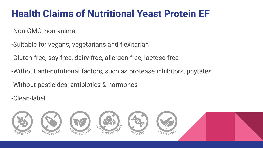### **Health Claims of Nutritional Yeast Protein EF**

-Non-GMO, non-animal

-Suitable for vegans, vegetarians and flexitarian

-Gluten-free, soy-free, dairy-free, allergen-free, lactose-free

-Without anti-nutritional factors, such as protease inhibitors, phytates

-Without pesticides, antibiotics & hormones

-Clean-label

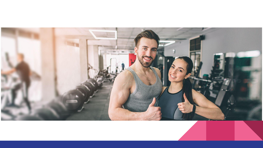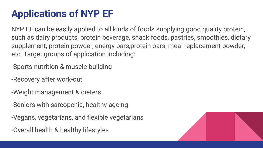# **Applications of NYP EF**

NYP EF can be easily applied to all kinds of foods supplying good quality protein, such as dairy products, protein beverage, snack foods, pastries, smoothies, dietary supplement, protein powder, energy bars,protein bars, meal replacement powder, etc. Target groups of application including:

- -Sports nutrition & muscle-building
- -Recovery after work-out
- -Weight management & dieters
- -Seniors with sarcopenia, healthy ageing
- -Vegans, vegetarians, and flexible vegetarians
- -Overall health & healthy lifestyles